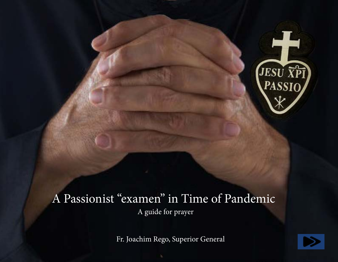

# A Passionist "examen" in Time of Pandemic A guide for prayer

Fr. Joachim Rego, Superior General

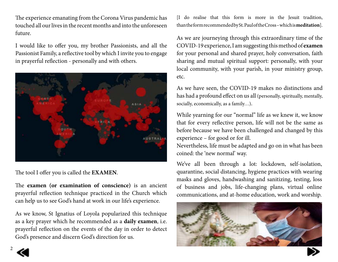The experience emanating from the Corona Virus pandemic has touched all our lives in the recent months and into the unforeseen future.

I would like to offer you, my brother Passionists, and all the Passionist Family, a reflective tool by which I invite you to engage in prayerful reflection - personally and with others.



The tool I offer you is called the **EXAMEN**.

The **examen (or examination of conscience)** is an ancient prayerful reflection technique practiced in the Church which can help us to see God's hand at work in our life's experience.

As we know, St Ignatius of Loyola popularized this technique as a key prayer which he recommended as a **daily examen**, i.e. prayerful reflection on the events of the day in order to detect God's presence and discern God's direction for us.

[I do realise that this form is more in the Jesuit tradition, than the form recommended by St. Paul of the Cross – which is **meditation**].

As we are journeying through this extraordinary time of the COVID-19 experience, I am suggesting this method of **examen** for your personal and shared prayer, holy conversation, faith sharing and mutual spiritual support: personally, with your local community, with your parish, in your ministry group, etc.

As we have seen, the COVID-19 makes no distinctions and has had a profound effect on us all (personally, spiritually, mentally, socially, economically, as a family…).

While yearning for our "normal" life as we knew it, we know that for every reflective person, life will not be the same as before because we have been challenged and changed by this experience – for good or for ill.

Nevertheless, life must be adapted and go on in what has been coined: the 'new normal' way.

We've all been through a lot: lockdown, self-isolation, quarantine, social distancing, hygiene practices with wearing masks and gloves, handwashing and sanitizing, testing, loss of business and jobs, life-changing plans, virtual online communications, and at-home education, work and worship.



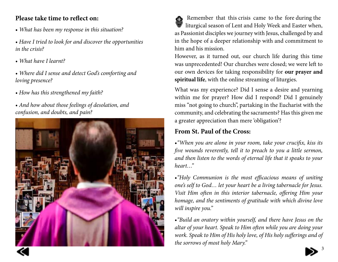#### **Please take time to reflect on:**

- *What has been my response in this situation?*
- *Have I tried to look for and discover the opportunities in the crisis?*
- *What have I learnt?*
- *Where did I sense and detect God's comforting and loving presence?*
- *How has this strengthened my faith?*
- *And how about those feelings of desolation, and confusion, and doubts, and pain?*



 Remember that this crisis came to the fore during the liturgical season of Lent and Holy Week and Easter when, as Passionist disciples we journey with Jesus, challenged by and in the hope of a deeper relationship with and commitment to him and his mission.

However, as it turned out, our church life during this time was unprecedented! Our churches were closed; we were left to our own devices for taking responsibility for **our prayer and spiritual life**, with the online streaming of liturgies.

What was my experience? Did I sense a desire and yearning within me for prayer? How did I respond? Did I genuinely miss "not going to church", partaking in the Eucharist with the community, and celebrating the sacraments? Has this given me a greater appreciation than mere 'obligation'?

## **From St. Paul of the Cross:**

•*"When you are alone in your room, take your crucifix, kiss its five wounds reverently, tell it to preach to you a little sermon, and then listen to the words of eternal life that it speaks to your heart…"*

•*"Holy Communion is the most efficacious means of uniting one's self to God… let your heart be a living tabernacle for Jesus. Visit Him often in this interior tabernacle, offering Him your homage, and the sentiments of gratitude with which divine love will inspire you."*

•*"Build an oratory within yourself, and there have Jesus on the altar of your heart. Speak to Him often while you are doing your work. Speak to Him of His holy love, of His holy sufferings and of the sorrows of most holy Mary."*



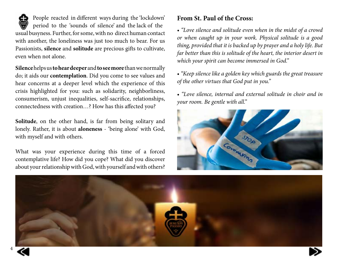People reacted in different ways during the 'lockdown' period to the 'sounds of silence' and the lack of the usual busyness. Further, for some, with no direct human contact with another, the loneliness was just too much to bear. For us Passionists, **silence** and **solitude** are precious gifts to cultivate, even when not alone.

**Silence** helps us **to hear deeper** and **to see more** than we normally do; it aids our **contemplation**. Did you come to see values and hear concerns at a deeper level which the experience of this crisis highlighted for you: such as solidarity, neighborliness, consumerism, unjust inequalities, self-sacrifice, relationships, connectedness with creation…? How has this affected you?

**Solitude**, on the other hand, is far from being solitary and lonely. Rather, it is about **aloneness** - 'being alone' with God, with myself and with others.

What was your experience during this time of a forced contemplative life? How did you cope? What did you discover about your relationship with God, with yourself and with others?

### **From St. Paul of the Cross:**

• *"Love silence and solitude even when in the midst of a crowd or when caught up in your work. Physical solitude is a good thing, provided that it is backed up by prayer and a holy life. But far better than this is solitude of the heart, the interior desert in which your spirit can become immersed in God."*

• *"Keep silence like a golden key which guards the great treasure of the other virtues that God put in you."*

• *"Love silence, internal and external solitude in choir and in your room. Be gentle with all."*